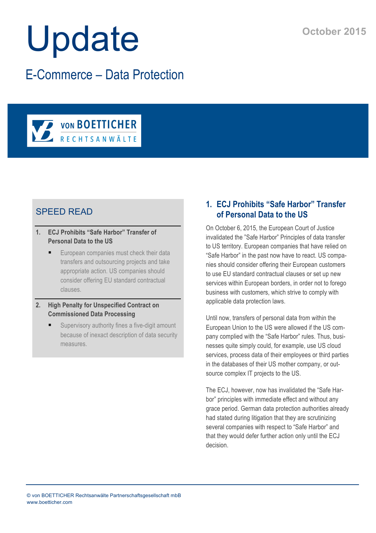# Update

E-Commerce – Data Protection



# SPEED READ

- **1. ECJ Prohibits "Safe Harbor" Transfer of Personal Data to the US**
	- European companies must check their data transfers and outsourcing projects and take appropriate action. US companies should consider offering EU standard contractual clauses.
- **2. High Penalty for Unspecified Contract on Commissioned Data Processing**
	- Supervisory authority fines a five-digit amount because of inexact description of data security measures.

# **1. ECJ Prohibits "Safe Harbor" Transfer of Personal Data to the US**

On October 6, 2015, the European Court of Justice invalidated the "Safe Harbor" Principles of data transfer to US territory. European companies that have relied on "Safe Harbor" in the past now have to react. US companies should consider offering their European customers to use EU standard contractual clauses or set up new services within European borders, in order not to forego business with customers, which strive to comply with applicable data protection laws.

Until now, transfers of personal data from within the European Union to the US were allowed if the US company complied with the "Safe Harbor" rules. Thus, businesses quite simply could, for example, use US cloud services, process data of their employees or third parties in the databases of their US mother company, or outsource complex IT projects to the US.

The ECJ, however, now has invalidated the "Safe Harbor" principles with immediate effect and without any grace period. German data protection authorities already had stated during litigation that they are scrutinizing several companies with respect to "Safe Harbor" and that they would defer further action only until the ECJ decision.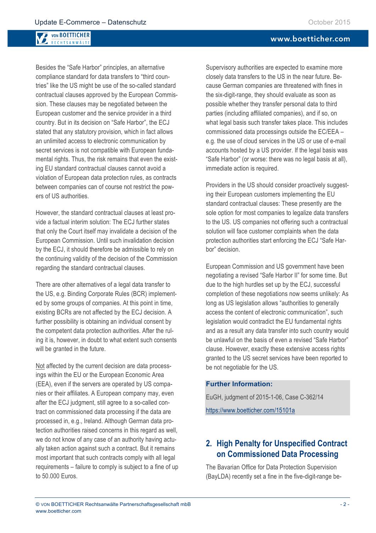#### **VON BOETTICHER** RECHTSANWÄLTI

Besides the "Safe Harbor" principles, an alternative compliance standard for data transfers to "third countries" like the US might be use of the so-called standard contractual clauses approved by the European Commission. These clauses may be negotiated between the European customer and the service provider in a third country. But in its decision on "Safe Harbor", the ECJ stated that any statutory provision, which in fact allows an unlimited access to electronic communication by secret services is not compatible with European fundamental rights. Thus, the risk remains that even the existing EU standard contractual clauses cannot avoid a violation of European data protection rules, as contracts between companies can of course not restrict the powers of US authorities.

However, the standard contractual clauses at least provide a factual interim solution: The ECJ further states that only the Court itself may invalidate a decision of the European Commission. Until such invalidation decision by the ECJ, it should therefore be admissible to rely on the continuing validity of the decision of the Commission regarding the standard contractual clauses.

There are other alternatives of a legal data transfer to the US, e.g. Binding Corporate Rules (BCR) implemented by some groups of companies. At this point in time, existing BCRs are not affected by the ECJ decision. A further possibility is obtaining an individual consent by the competent data protection authorities. After the ruling it is, however, in doubt to what extent such consents will be granted in the future.

Not affected by the current decision are data processings within the EU or the European Economic Area (EEA), even if the servers are operated by US companies or their affiliates. A European company may, even after the ECJ judgment, still agree to a so-called contract on commissioned data processing if the data are processed in, e.g., Ireland. Although German data protection authorities raised concerns in this regard as well, we do not know of any case of an authority having actually taken action against such a contract. But it remains most important that such contracts comply with all legal requirements – failure to comply is subject to a fine of up to 50.000 Euros.

Supervisory authorities are expected to examine more closely data transfers to the US in the near future. Because German companies are threatened with fines in the six-digit-range, they should evaluate as soon as possible whether they transfer personal data to third parties (including affiliated companies), and if so, on what legal basis such transfer takes place. This includes commissioned data processings outside the EC/EEA – e.g. the use of cloud services in the US or use of e-mail accounts hosted by a US provider. If the legal basis was "Safe Harbor" (or worse: there was no legal basis at all), immediate action is required.

Providers in the US should consider proactively suggesting their European customers implementing the EU standard contractual clauses: These presently are the sole option for most companies to legalize data transfers to the US. US companies not offering such a contractual solution will face customer complaints when the data protection authorities start enforcing the ECJ "Safe Harbor" decision.

European Commission and US government have been negotiating a revised "Safe Harbor II" for some time. But due to the high hurdles set up by the ECJ, successful completion of these negotiations now seems unlikely: As long as US legislation allows "authorities to generally access the content of electronic communication", such legislation would contradict the EU fundamental rights and as a result any data transfer into such country would be unlawful on the basis of even a revised "Safe Harbor" clause. However, exactly these extensive access rights granted to the US secret services have been reported to be not negotiable for the US.

## **Further Information:**

EuGH, judgment of 2015-1-06, Case C-362/14 https://www.boetticher.com/15101a

## **2. High Penalty for Unspecified Contract on Commissioned Data Processing**

The Bavarian Office for Data Protection Supervision (BayLDA) recently set a fine in the five-digit-range be-

## www.boetticher.com